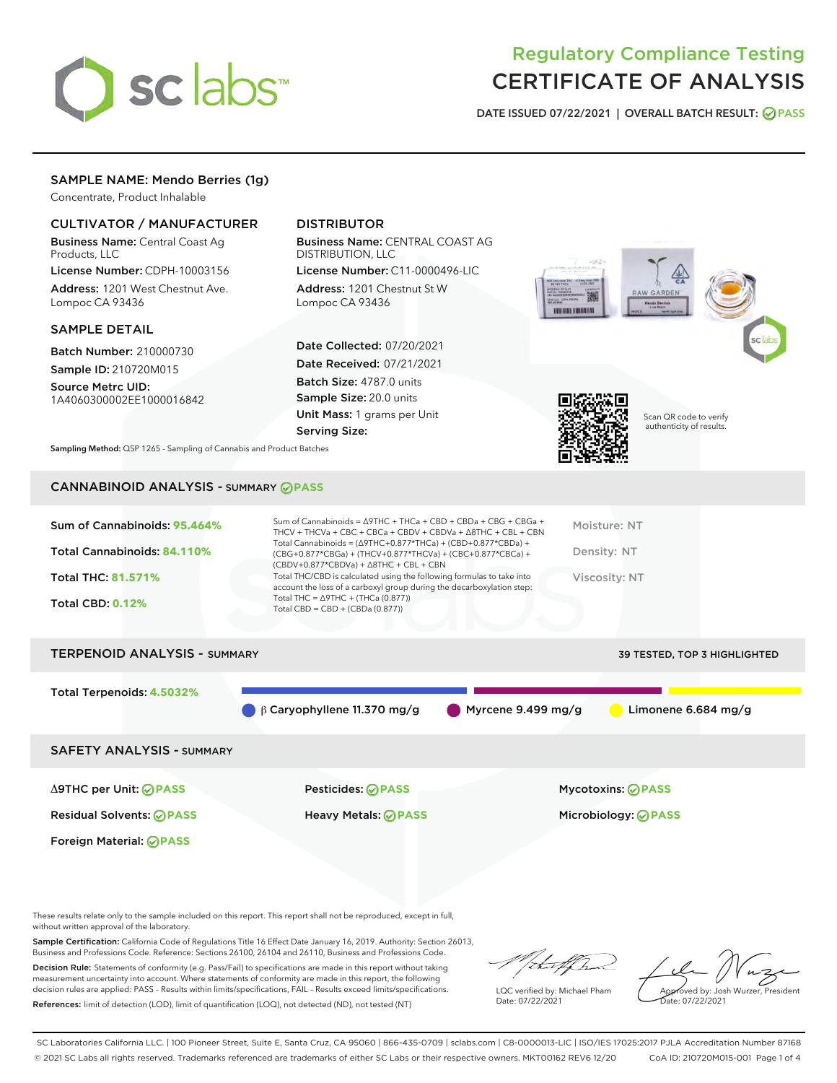

# Regulatory Compliance Testing CERTIFICATE OF ANALYSIS

DATE ISSUED 07/22/2021 | OVERALL BATCH RESULT: @ PASS

# SAMPLE NAME: Mendo Berries (1g)

Concentrate, Product Inhalable

# CULTIVATOR / MANUFACTURER

Business Name: Central Coast Ag Products, LLC

License Number: CDPH-10003156 Address: 1201 West Chestnut Ave. Lompoc CA 93436

#### SAMPLE DETAIL

Batch Number: 210000730 Sample ID: 210720M015

Source Metrc UID: 1A4060300002EE1000016842

# DISTRIBUTOR

Business Name: CENTRAL COAST AG DISTRIBUTION, LLC

License Number: C11-0000496-LIC Address: 1201 Chestnut St W Lompoc CA 93436

Date Collected: 07/20/2021 Date Received: 07/21/2021 Batch Size: 4787.0 units Sample Size: 20.0 units Unit Mass: 1 grams per Unit Serving Size:





Scan QR code to verify authenticity of results.

Sampling Method: QSP 1265 - Sampling of Cannabis and Product Batches

# CANNABINOID ANALYSIS - SUMMARY **PASS**

# TERPENOID ANALYSIS - SUMMARY 39 TESTED, TOP 3 HIGHLIGHTED

Total Terpenoids: **4.5032%**

β Caryophyllene 11.370 mg/g Myrcene 9.499 mg/g Limonene 6.684 mg/g

# SAFETY ANALYSIS - SUMMARY

Δ9THC per Unit: **PASS** Pesticides: **PASS** Mycotoxins: **PASS**

Foreign Material: **PASS**

Residual Solvents: **PASS** Heavy Metals: **PASS** Microbiology: **PASS**

These results relate only to the sample included on this report. This report shall not be reproduced, except in full, without written approval of the laboratory.

Sample Certification: California Code of Regulations Title 16 Effect Date January 16, 2019. Authority: Section 26013, Business and Professions Code. Reference: Sections 26100, 26104 and 26110, Business and Professions Code.

Decision Rule: Statements of conformity (e.g. Pass/Fail) to specifications are made in this report without taking measurement uncertainty into account. Where statements of conformity are made in this report, the following decision rules are applied: PASS – Results within limits/specifications, FAIL – Results exceed limits/specifications. References: limit of detection (LOD), limit of quantification (LOQ), not detected (ND), not tested (NT)

that fCh

LQC verified by: Michael Pham Date: 07/22/2021

Approved by: Josh Wurzer, President ate: 07/22/2021

SC Laboratories California LLC. | 100 Pioneer Street, Suite E, Santa Cruz, CA 95060 | 866-435-0709 | sclabs.com | C8-0000013-LIC | ISO/IES 17025:2017 PJLA Accreditation Number 87168 © 2021 SC Labs all rights reserved. Trademarks referenced are trademarks of either SC Labs or their respective owners. MKT00162 REV6 12/20 CoA ID: 210720M015-001 Page 1 of 4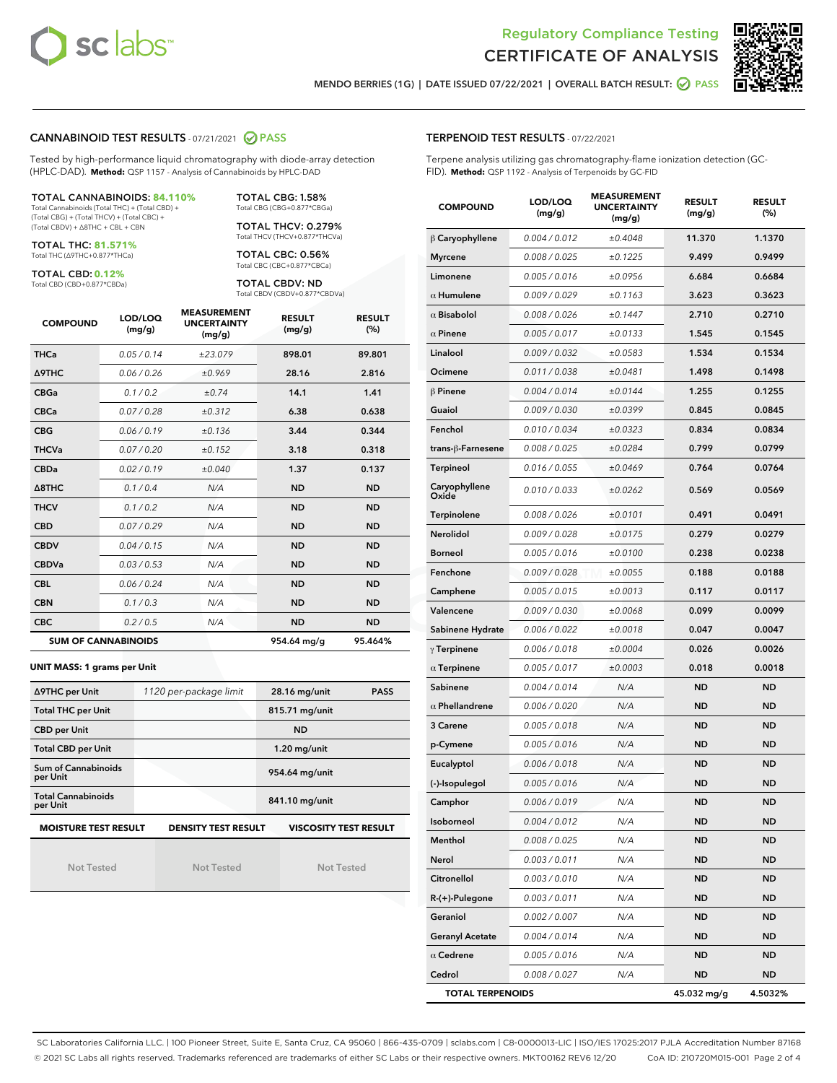



MENDO BERRIES (1G) | DATE ISSUED 07/22/2021 | OVERALL BATCH RESULT: **⊘** PASS

#### CANNABINOID TEST RESULTS - 07/21/2021 @ PASS

Tested by high-performance liquid chromatography with diode-array detection (HPLC-DAD). **Method:** QSP 1157 - Analysis of Cannabinoids by HPLC-DAD

#### TOTAL CANNABINOIDS: **84.110%**

Total Cannabinoids (Total THC) + (Total CBD) + (Total CBG) + (Total THCV) + (Total CBC) + (Total CBDV) + ∆8THC + CBL + CBN

TOTAL THC: **81.571%** Total THC (∆9THC+0.877\*THCa)

TOTAL CBD: **0.12%**

Total CBD (CBD+0.877\*CBDa)

TOTAL CBG: 1.58% Total CBG (CBG+0.877\*CBGa)

TOTAL THCV: 0.279% Total THCV (THCV+0.877\*THCVa)

TOTAL CBC: 0.56% Total CBC (CBC+0.877\*CBCa)

TOTAL CBDV: ND Total CBDV (CBDV+0.877\*CBDVa)

| <b>COMPOUND</b> | LOD/LOQ<br>(mg/g)          | <b>MEASUREMENT</b><br><b>UNCERTAINTY</b><br>(mg/g) | <b>RESULT</b><br>(mg/g) | <b>RESULT</b><br>(%) |
|-----------------|----------------------------|----------------------------------------------------|-------------------------|----------------------|
| <b>THCa</b>     | 0.05/0.14                  | ±23.079                                            | 898.01                  | 89.801               |
| <b>A9THC</b>    | 0.06 / 0.26                | ±0.969                                             | 28.16                   | 2.816                |
| <b>CBGa</b>     | 0.1 / 0.2                  | ±0.74                                              | 14.1                    | 1.41                 |
| <b>CBCa</b>     | 0.07 / 0.28                | ±0.312                                             | 6.38                    | 0.638                |
| <b>CBG</b>      | 0.06/0.19                  | ±0.136                                             | 3.44                    | 0.344                |
| <b>THCVa</b>    | 0.07/0.20                  | ±0.152                                             | 3.18                    | 0.318                |
| <b>CBDa</b>     | 0.02 / 0.19                | ±0.040                                             | 1.37                    | 0.137                |
| A8THC           | 0.1/0.4                    | N/A                                                | <b>ND</b>               | <b>ND</b>            |
| <b>THCV</b>     | 0.1 / 0.2                  | N/A                                                | <b>ND</b>               | <b>ND</b>            |
| <b>CBD</b>      | 0.07/0.29                  | N/A                                                | <b>ND</b>               | <b>ND</b>            |
| <b>CBDV</b>     | 0.04/0.15                  | N/A                                                | <b>ND</b>               | <b>ND</b>            |
| <b>CBDVa</b>    | 0.03/0.53                  | N/A                                                | <b>ND</b>               | <b>ND</b>            |
| <b>CBL</b>      | 0.06 / 0.24                | N/A                                                | <b>ND</b>               | <b>ND</b>            |
| <b>CBN</b>      | 0.1/0.3                    | N/A                                                | <b>ND</b>               | <b>ND</b>            |
| <b>CBC</b>      | 0.2 / 0.5                  | N/A                                                | <b>ND</b>               | <b>ND</b>            |
|                 | <b>SUM OF CANNABINOIDS</b> |                                                    | 954.64 mg/g             | 95.464%              |

#### **UNIT MASS: 1 grams per Unit**

| ∆9THC per Unit                         | 1120 per-package limit     | 28.16 mg/unit<br><b>PASS</b> |  |
|----------------------------------------|----------------------------|------------------------------|--|
| <b>Total THC per Unit</b>              |                            | 815.71 mg/unit               |  |
| <b>CBD per Unit</b>                    |                            | <b>ND</b>                    |  |
| <b>Total CBD per Unit</b>              |                            | $1.20$ mg/unit               |  |
| <b>Sum of Cannabinoids</b><br>per Unit |                            | 954.64 mg/unit               |  |
| <b>Total Cannabinoids</b><br>per Unit  |                            | 841.10 mg/unit               |  |
| <b>MOISTURE TEST RESULT</b>            | <b>DENSITY TEST RESULT</b> | <b>VISCOSITY TEST RESULT</b> |  |

Not Tested

**MOISTURE TEST RESULT**

Not Tested

Not Tested

#### TERPENOID TEST RESULTS - 07/22/2021

Terpene analysis utilizing gas chromatography-flame ionization detection (GC-FID). **Method:** QSP 1192 - Analysis of Terpenoids by GC-FID

| <b>COMPOUND</b>         | LOD/LOQ<br>(mg/g) | <b>MEASUREMENT</b><br><b>UNCERTAINTY</b><br>(mg/g) | <b>RESULT</b><br>(mg/g) | <b>RESULT</b><br>$(\%)$ |
|-------------------------|-------------------|----------------------------------------------------|-------------------------|-------------------------|
| $\beta$ Caryophyllene   | 0.004 / 0.012     | ±0.4048                                            | 11.370                  | 1.1370                  |
| <b>Myrcene</b>          | 0.008 / 0.025     | ±0.1225                                            | 9.499                   | 0.9499                  |
| Limonene                | 0.005 / 0.016     | ±0.0956                                            | 6.684                   | 0.6684                  |
| $\alpha$ Humulene       | 0.009 / 0.029     | ±0.1163                                            | 3.623                   | 0.3623                  |
| $\alpha$ Bisabolol      | 0.008 / 0.026     | ±0.1447                                            | 2.710                   | 0.2710                  |
| $\alpha$ Pinene         | 0.005 / 0.017     | ±0.0133                                            | 1.545                   | 0.1545                  |
| Linalool                | 0.009 / 0.032     | ±0.0583                                            | 1.534                   | 0.1534                  |
| Ocimene                 | 0.011 / 0.038     | ±0.0481                                            | 1.498                   | 0.1498                  |
| $\beta$ Pinene          | 0.004 / 0.014     | ±0.0144                                            | 1.255                   | 0.1255                  |
| Guaiol                  | 0.009 / 0.030     | ±0.0399                                            | 0.845                   | 0.0845                  |
| Fenchol                 | 0.010 / 0.034     | ±0.0323                                            | 0.834                   | 0.0834                  |
| trans-β-Farnesene       | 0.008 / 0.025     | ±0.0284                                            | 0.799                   | 0.0799                  |
| <b>Terpineol</b>        | 0.016 / 0.055     | ±0.0469                                            | 0.764                   | 0.0764                  |
| Caryophyllene<br>Oxide  | 0.010 / 0.033     | ±0.0262                                            | 0.569                   | 0.0569                  |
| Terpinolene             | 0.008 / 0.026     | ±0.0101                                            | 0.491                   | 0.0491                  |
| Nerolidol               | 0.009 / 0.028     | ±0.0175                                            | 0.279                   | 0.0279                  |
| <b>Borneol</b>          | 0.005 / 0.016     | ±0.0100                                            | 0.238                   | 0.0238                  |
| Fenchone                | 0.009 / 0.028     | ±0.0055                                            | 0.188                   | 0.0188                  |
| Camphene                | 0.005 / 0.015     | ±0.0013                                            | 0.117                   | 0.0117                  |
| Valencene               | 0.009 / 0.030     | ±0.0068                                            | 0.099                   | 0.0099                  |
| Sabinene Hydrate        | 0.006 / 0.022     | ±0.0018                                            | 0.047                   | 0.0047                  |
| $\gamma$ Terpinene      | 0.006 / 0.018     | ±0.0004                                            | 0.026                   | 0.0026                  |
| $\alpha$ Terpinene      | 0.005 / 0.017     | ±0.0003                                            | 0.018                   | 0.0018                  |
| Sabinene                | 0.004 / 0.014     | N/A                                                | ND                      | <b>ND</b>               |
| $\alpha$ Phellandrene   | 0.006 / 0.020     | N/A                                                | <b>ND</b>               | <b>ND</b>               |
| 3 Carene                | 0.005 / 0.018     | N/A                                                | <b>ND</b>               | <b>ND</b>               |
| p-Cymene                | 0.005 / 0.016     | N/A                                                | ND                      | <b>ND</b>               |
| Eucalyptol              | 0.006 / 0.018     | N/A                                                | <b>ND</b>               | <b>ND</b>               |
| (-)-Isopulegol          | 0.005 / 0.016     | N/A                                                | ND                      | <b>ND</b>               |
| Camphor                 | 0.006 / 0.019     | N/A                                                | ND                      | <b>ND</b>               |
| Isoborneol              | 0.004 / 0.012     | N/A                                                | ND                      | <b>ND</b>               |
| Menthol                 | 0.008 / 0.025     | N/A                                                | ND                      | ND                      |
| Nerol                   | 0.003 / 0.011     | N/A                                                | ND                      | <b>ND</b>               |
| Citronellol             | 0.003 / 0.010     | N/A                                                | ND                      | <b>ND</b>               |
| R-(+)-Pulegone          | 0.003 / 0.011     | N/A                                                | ND                      | ND                      |
| Geraniol                | 0.002 / 0.007     | N/A                                                | ND                      | ND                      |
| <b>Geranyl Acetate</b>  | 0.004 / 0.014     | N/A                                                | ND                      | ND                      |
| $\alpha$ Cedrene        | 0.005 / 0.016     | N/A                                                | ND                      | ND                      |
| Cedrol                  | 0.008 / 0.027     | N/A                                                | ND                      | <b>ND</b>               |
| <b>TOTAL TERPENOIDS</b> |                   |                                                    | 45.032 mg/g             | 4.5032%                 |

SC Laboratories California LLC. | 100 Pioneer Street, Suite E, Santa Cruz, CA 95060 | 866-435-0709 | sclabs.com | C8-0000013-LIC | ISO/IES 17025:2017 PJLA Accreditation Number 87168 © 2021 SC Labs all rights reserved. Trademarks referenced are trademarks of either SC Labs or their respective owners. MKT00162 REV6 12/20 CoA ID: 210720M015-001 Page 2 of 4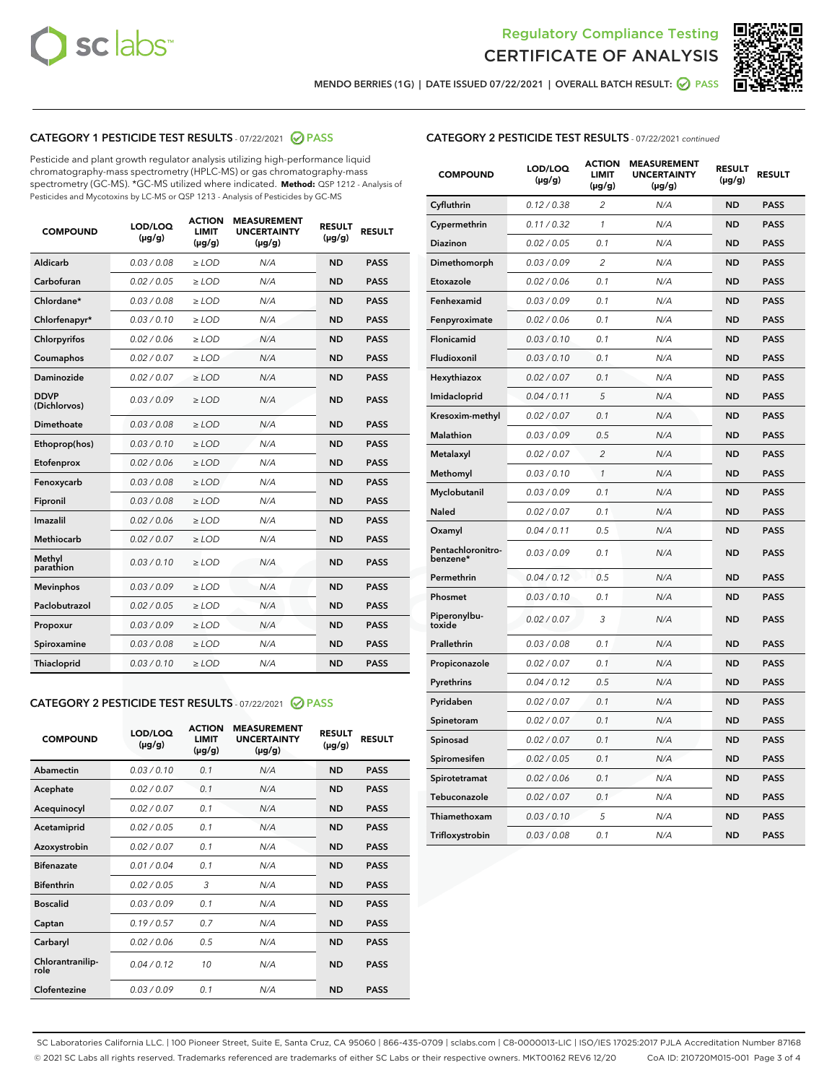



MENDO BERRIES (1G) | DATE ISSUED 07/22/2021 | OVERALL BATCH RESULT: ● PASS

# CATEGORY 1 PESTICIDE TEST RESULTS - 07/22/2021 2 PASS

Pesticide and plant growth regulator analysis utilizing high-performance liquid chromatography-mass spectrometry (HPLC-MS) or gas chromatography-mass spectrometry (GC-MS). \*GC-MS utilized where indicated. **Method:** QSP 1212 - Analysis of Pesticides and Mycotoxins by LC-MS or QSP 1213 - Analysis of Pesticides by GC-MS

| <b>COMPOUND</b>             | LOD/LOQ<br>$(\mu g/g)$ | <b>ACTION</b><br><b>LIMIT</b><br>$(\mu g/g)$ | <b>MEASUREMENT</b><br><b>UNCERTAINTY</b><br>$(\mu g/g)$ | <b>RESULT</b><br>$(\mu g/g)$ | <b>RESULT</b> |
|-----------------------------|------------------------|----------------------------------------------|---------------------------------------------------------|------------------------------|---------------|
| Aldicarb                    | 0.03 / 0.08            | $\geq$ LOD                                   | N/A                                                     | <b>ND</b>                    | <b>PASS</b>   |
| Carbofuran                  | 0.02/0.05              | $>$ LOD                                      | N/A                                                     | <b>ND</b>                    | <b>PASS</b>   |
| Chlordane*                  | 0.03 / 0.08            | $\ge$ LOD                                    | N/A                                                     | <b>ND</b>                    | <b>PASS</b>   |
| Chlorfenapyr*               | 0.03/0.10              | $>$ LOD                                      | N/A                                                     | <b>ND</b>                    | <b>PASS</b>   |
| Chlorpyrifos                | 0.02 / 0.06            | $\ge$ LOD                                    | N/A                                                     | <b>ND</b>                    | <b>PASS</b>   |
| Coumaphos                   | 0.02 / 0.07            | $\ge$ LOD                                    | N/A                                                     | <b>ND</b>                    | <b>PASS</b>   |
| Daminozide                  | 0.02 / 0.07            | $\ge$ LOD                                    | N/A                                                     | <b>ND</b>                    | <b>PASS</b>   |
| <b>DDVP</b><br>(Dichlorvos) | 0.03/0.09              | $\ge$ LOD                                    | N/A                                                     | <b>ND</b>                    | <b>PASS</b>   |
| Dimethoate                  | 0.03/0.08              | $>$ LOD                                      | N/A                                                     | <b>ND</b>                    | <b>PASS</b>   |
| Ethoprop(hos)               | 0.03/0.10              | $\ge$ LOD                                    | N/A                                                     | <b>ND</b>                    | <b>PASS</b>   |
| Etofenprox                  | 0.02 / 0.06            | $\ge$ LOD                                    | N/A                                                     | <b>ND</b>                    | <b>PASS</b>   |
| Fenoxycarb                  | 0.03 / 0.08            | $\ge$ LOD                                    | N/A                                                     | <b>ND</b>                    | <b>PASS</b>   |
| Fipronil                    | 0.03/0.08              | $>$ LOD                                      | N/A                                                     | <b>ND</b>                    | <b>PASS</b>   |
| Imazalil                    | 0.02 / 0.06            | $\ge$ LOD                                    | N/A                                                     | <b>ND</b>                    | <b>PASS</b>   |
| <b>Methiocarb</b>           | 0.02 / 0.07            | $\ge$ LOD                                    | N/A                                                     | <b>ND</b>                    | <b>PASS</b>   |
| Methyl<br>parathion         | 0.03/0.10              | $\ge$ LOD                                    | N/A                                                     | <b>ND</b>                    | <b>PASS</b>   |
| <b>Mevinphos</b>            | 0.03/0.09              | $>$ LOD                                      | N/A                                                     | <b>ND</b>                    | <b>PASS</b>   |
| Paclobutrazol               | 0.02 / 0.05            | $\ge$ LOD                                    | N/A                                                     | <b>ND</b>                    | <b>PASS</b>   |
| Propoxur                    | 0.03/0.09              | $\ge$ LOD                                    | N/A                                                     | <b>ND</b>                    | <b>PASS</b>   |
| Spiroxamine                 | 0.03 / 0.08            | $\ge$ LOD                                    | N/A                                                     | <b>ND</b>                    | <b>PASS</b>   |
| Thiacloprid                 | 0.03/0.10              | $\ge$ LOD                                    | N/A                                                     | <b>ND</b>                    | <b>PASS</b>   |

# CATEGORY 2 PESTICIDE TEST RESULTS - 07/22/2021 @ PASS

| <b>COMPOUND</b>          | LOD/LOQ<br>$(\mu g/g)$ | <b>ACTION</b><br>LIMIT<br>$(\mu g/g)$ | <b>MEASUREMENT</b><br><b>UNCERTAINTY</b><br>$(\mu g/g)$ | <b>RESULT</b><br>$(\mu g/g)$ | <b>RESULT</b> |  |
|--------------------------|------------------------|---------------------------------------|---------------------------------------------------------|------------------------------|---------------|--|
| Abamectin                | 0.03/0.10              | 0.1                                   | N/A                                                     | <b>ND</b>                    | <b>PASS</b>   |  |
| Acephate                 | 0.02/0.07              | 0.1                                   | N/A                                                     | <b>ND</b>                    | <b>PASS</b>   |  |
| Acequinocyl              | 0.02 / 0.07            | 0.1                                   | N/A                                                     | <b>ND</b>                    | <b>PASS</b>   |  |
| Acetamiprid              | 0.02/0.05              | 0.1                                   | N/A                                                     | <b>ND</b>                    | <b>PASS</b>   |  |
| Azoxystrobin             | 0.02/0.07              | 0.1                                   | N/A                                                     | <b>ND</b>                    | <b>PASS</b>   |  |
| <b>Bifenazate</b>        | 0.01/0.04              | 0.1                                   | N/A                                                     | <b>ND</b>                    | <b>PASS</b>   |  |
| <b>Bifenthrin</b>        | 0.02 / 0.05            | 3                                     | N/A                                                     | <b>ND</b>                    | <b>PASS</b>   |  |
| <b>Boscalid</b>          | 0.03/0.09              | 0.1                                   | N/A                                                     | <b>ND</b>                    | <b>PASS</b>   |  |
| Captan                   | 0.19/0.57              | 07                                    | N/A                                                     | <b>ND</b>                    | <b>PASS</b>   |  |
| Carbaryl                 | 0.02/0.06              | 0.5                                   | N/A                                                     | <b>ND</b>                    | <b>PASS</b>   |  |
| Chlorantranilip-<br>role | 0.04/0.12              | 10                                    | N/A                                                     | <b>ND</b>                    | <b>PASS</b>   |  |
| Clofentezine             | 0.03/0.09              | 0.1                                   | N/A                                                     | <b>ND</b>                    | <b>PASS</b>   |  |

# CATEGORY 2 PESTICIDE TEST RESULTS - 07/22/2021 continued

| <b>COMPOUND</b>               | LOD/LOQ<br>(µg/g) | <b>ACTION</b><br><b>LIMIT</b><br>$(\mu g/g)$ | <b>MEASUREMENT</b><br><b>UNCERTAINTY</b><br>$(\mu g/g)$ | <b>RESULT</b><br>(µg/g) | <b>RESULT</b> |
|-------------------------------|-------------------|----------------------------------------------|---------------------------------------------------------|-------------------------|---------------|
| Cyfluthrin                    | 0.12 / 0.38       | $\overline{c}$                               | N/A                                                     | <b>ND</b>               | <b>PASS</b>   |
| Cypermethrin                  | 0.11 / 0.32       | 1                                            | N/A                                                     | <b>ND</b>               | <b>PASS</b>   |
| Diazinon                      | 0.02 / 0.05       | 0.1                                          | N/A                                                     | <b>ND</b>               | <b>PASS</b>   |
| Dimethomorph                  | 0.03 / 0.09       | $\overline{2}$                               | N/A                                                     | <b>ND</b>               | <b>PASS</b>   |
| Etoxazole                     | 0.02 / 0.06       | 0.1                                          | N/A                                                     | <b>ND</b>               | <b>PASS</b>   |
| Fenhexamid                    | 0.03 / 0.09       | 0.1                                          | N/A                                                     | <b>ND</b>               | <b>PASS</b>   |
| Fenpyroximate                 | 0.02 / 0.06       | 0.1                                          | N/A                                                     | <b>ND</b>               | <b>PASS</b>   |
| <b>Flonicamid</b>             | 0.03 / 0.10       | 0.1                                          | N/A                                                     | <b>ND</b>               | <b>PASS</b>   |
| Fludioxonil                   | 0.03 / 0.10       | 0.1                                          | N/A                                                     | <b>ND</b>               | <b>PASS</b>   |
| Hexythiazox                   | 0.02 / 0.07       | 0.1                                          | N/A                                                     | <b>ND</b>               | <b>PASS</b>   |
| Imidacloprid                  | 0.04 / 0.11       | 5                                            | N/A                                                     | <b>ND</b>               | <b>PASS</b>   |
| Kresoxim-methyl               | 0.02 / 0.07       | 0.1                                          | N/A                                                     | <b>ND</b>               | <b>PASS</b>   |
| <b>Malathion</b>              | 0.03 / 0.09       | 0.5                                          | N/A                                                     | <b>ND</b>               | <b>PASS</b>   |
| Metalaxyl                     | 0.02 / 0.07       | $\overline{2}$                               | N/A                                                     | <b>ND</b>               | <b>PASS</b>   |
| Methomyl                      | 0.03 / 0.10       | $\mathbf{1}$                                 | N/A                                                     | <b>ND</b>               | <b>PASS</b>   |
| Myclobutanil                  | 0.03 / 0.09       | 0.1                                          | N/A                                                     | <b>ND</b>               | <b>PASS</b>   |
| Naled                         | 0.02 / 0.07       | 0.1                                          | N/A                                                     | <b>ND</b>               | <b>PASS</b>   |
| Oxamyl                        | 0.04 / 0.11       | 0.5                                          | N/A                                                     | <b>ND</b>               | <b>PASS</b>   |
| Pentachloronitro-<br>benzene* | 0.03 / 0.09       | 0.1                                          | N/A                                                     | <b>ND</b>               | <b>PASS</b>   |
| Permethrin                    | 0.04 / 0.12       | 0.5                                          | N/A                                                     | <b>ND</b>               | <b>PASS</b>   |
| Phosmet                       | 0.03 / 0.10       | 0.1                                          | N/A                                                     | <b>ND</b>               | <b>PASS</b>   |
| Piperonylbu-<br>toxide        | 0.02 / 0.07       | 3                                            | N/A                                                     | <b>ND</b>               | <b>PASS</b>   |
| Prallethrin                   | 0.03 / 0.08       | 0.1                                          | N/A                                                     | <b>ND</b>               | <b>PASS</b>   |
| Propiconazole                 | 0.02 / 0.07       | 0.1                                          | N/A                                                     | <b>ND</b>               | <b>PASS</b>   |
| Pyrethrins                    | 0.04 / 0.12       | 0.5                                          | N/A                                                     | <b>ND</b>               | <b>PASS</b>   |
| Pyridaben                     | 0.02 / 0.07       | 0.1                                          | N/A                                                     | <b>ND</b>               | <b>PASS</b>   |
| Spinetoram                    | 0.02 / 0.07       | 0.1                                          | N/A                                                     | <b>ND</b>               | <b>PASS</b>   |
| Spinosad                      | 0.02 / 0.07       | 0.1                                          | N/A                                                     | <b>ND</b>               | <b>PASS</b>   |
| Spiromesifen                  | 0.02 / 0.05       | 0.1                                          | N/A                                                     | <b>ND</b>               | <b>PASS</b>   |
| Spirotetramat                 | 0.02 / 0.06       | 0.1                                          | N/A                                                     | <b>ND</b>               | <b>PASS</b>   |
| Tebuconazole                  | 0.02 / 0.07       | 0.1                                          | N/A                                                     | <b>ND</b>               | <b>PASS</b>   |
| Thiamethoxam                  | 0.03 / 0.10       | 5                                            | N/A                                                     | <b>ND</b>               | <b>PASS</b>   |
| Trifloxystrobin               | 0.03 / 0.08       | 0.1                                          | N/A                                                     | <b>ND</b>               | <b>PASS</b>   |

SC Laboratories California LLC. | 100 Pioneer Street, Suite E, Santa Cruz, CA 95060 | 866-435-0709 | sclabs.com | C8-0000013-LIC | ISO/IES 17025:2017 PJLA Accreditation Number 87168 © 2021 SC Labs all rights reserved. Trademarks referenced are trademarks of either SC Labs or their respective owners. MKT00162 REV6 12/20 CoA ID: 210720M015-001 Page 3 of 4